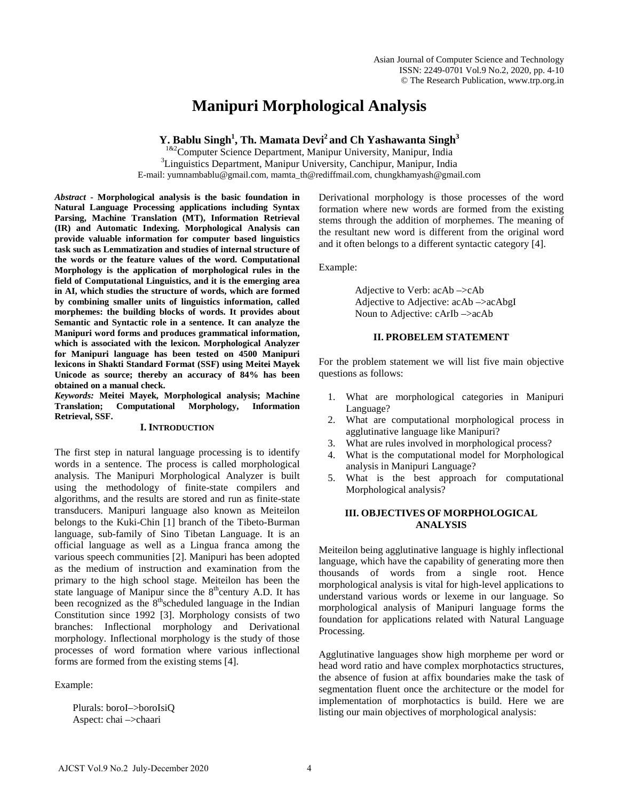# **Manipuri Morphological Analysis**

Y. Bablu Singh<sup>1</sup>, Th. Mamata Devi<sup>2</sup> and Ch Yashawanta Singh<sup>3</sup>

 $182$ Computer Science Department, Manipur University, Manipur, India <sup>3</sup> Linguistics Department, Manipur University, Canchipur, Manipur, India E-mail: yumnambablu@gmail.com, mamta\_th@rediffmail.com, chungkhamyash@gmail.com

*Abstract* **- Morphological analysis is the basic foundation in Natural Language Processing applications including Syntax Parsing, Machine Translation (MT), Information Retrieval (IR) and Automatic Indexing. Morphological Analysis can provide valuable information for computer based linguistics task such as Lemmatization and studies of internal structure of the words or the feature values of the word. Computational Morphology is the application of morphological rules in the field of Computational Linguistics, and it is the emerging area in AI, which studies the structure of words, which are formed by combining smaller units of linguistics information, called morphemes: the building blocks of words. It provides about Semantic and Syntactic role in a sentence. It can analyze the Manipuri word forms and produces grammatical information, which is associated with the lexicon. Morphological Analyzer for Manipuri language has been tested on 4500 Manipuri lexicons in Shakti Standard Format (SSF) using Meitei Mayek Unicode as source; thereby an accuracy of 84% has been obtained on a manual check.**

*Keywords:* **Meitei Mayek, Morphological analysis; Machine Translation; Computational Retrieval, SSF.**

## **I. INTRODUCTION**

The first step in natural language processing is to identify words in a sentence. The process is called morphological analysis. The Manipuri Morphological Analyzer is built using the methodology of finite-state compilers and algorithms, and the results are stored and run as finite-state transducers. Manipuri language also known as Meiteilon belongs to the Kuki-Chin [1] branch of the Tibeto-Burman language, sub-family of Sino Tibetan Language. It is an official language as well as a Lingua franca among the various speech communities [2]. Manipuri has been adopted as the medium of instruction and examination from the primary to the high school stage. Meiteilon has been the state language of Manipur since the  $8<sup>th</sup>$ century A.D. It has been recognized as the 8<sup>th</sup>scheduled language in the Indian Constitution since 1992 [3]. Morphology consists of two branches: Inflectional morphology and Derivational morphology. Inflectional morphology is the study of those processes of word formation where various inflectional forms are formed from the existing stems [4].

Example:

Plurals: boroI–>boroIsiQ Aspect: chai –>chaari

Derivational morphology is those processes of the word formation where new words are formed from the existing stems through the addition of morphemes. The meaning of the resultant new word is different from the original word and it often belongs to a different syntactic category [4].

Example:

Adjective to Verb: acAb –>cAb Adjective to Adjective: acAb –>acAbgI Noun to Adjective: cArIb –>acAb

## **II. PROBELEM STATEMENT**

For the problem statement we will list five main objective questions as follows:

- 1. What are morphological categories in Manipuri Language?
- 2. What are computational morphological process in agglutinative language like Manipuri?
- 3. What are rules involved in morphological process?
- 4. What is the computational model for Morphological analysis in Manipuri Language?
- 5. What is the best approach for computational Morphological analysis?

# **III. OBJECTIVES OF MORPHOLOGICAL ANALYSIS**

Meiteilon being agglutinative language is highly inflectional language, which have the capability of generating more then thousands of words from a single root. Hence morphological analysis is vital for high-level applications to understand various words or lexeme in our language. So morphological analysis of Manipuri language forms the foundation for applications related with Natural Language Processing.

Agglutinative languages show high morpheme per word or head word ratio and have complex morphotactics structures, the absence of fusion at affix boundaries make the task of segmentation fluent once the architecture or the model for implementation of morphotactics is build. Here we are listing our main objectives of morphological analysis: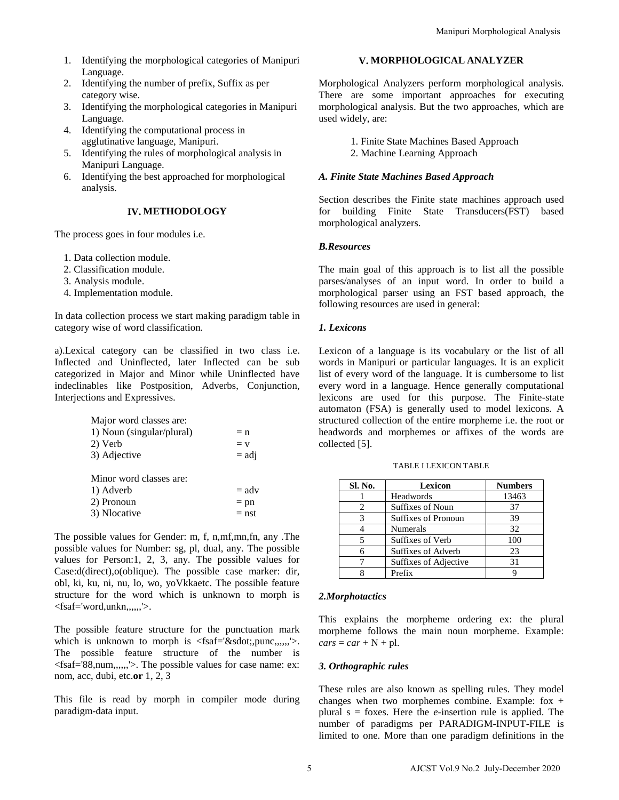- 1. Identifying the morphological categories of Manipuri Language.
- 2. Identifying the number of prefix, Suffix as per category wise.
- 3. Identifying the morphological categories in Manipuri Language.
- 4. Identifying the computational process in agglutinative language, Manipuri.
- 5. Identifying the rules of morphological analysis in Manipuri Language.
- 6. Identifying the best approached for morphological analysis.

# **IV. METHODOLOGY**

The process goes in four modules i.e.

- 1. Data collection module.
- 2. Classification module.
- 3. Analysis module.
- 4. Implementation module.

In data collection process we start making paradigm table in category wise of word classification.

a).Lexical category can be classified in two class i.e. Inflected and Uninflected, later Inflected can be sub categorized in Major and Minor while Uninflected have indeclinables like Postposition, Adverbs, Conjunction, Interjections and Expressives.

| Major word classes are:   |         |
|---------------------------|---------|
| 1) Noun (singular/plural) | $= n$   |
| 2) Verb                   | $= v$   |
| 3) Adjective              | $=$ adj |
|                           |         |
| Minor word classes are:   |         |
| 1) Adverb                 | $=$ adv |
| 2) Pronoun                | $=$ pn  |
| 3) Nlocative              | $=$ nst |

The possible values for Gender: m, f, n,mf,mn,fn, any .The possible values for Number: sg, pl, dual, any. The possible values for Person:1, 2, 3, any. The possible values for Case:d(direct),o(oblique). The possible case marker: dir, obl, ki, ku, ni, nu, lo, wo, yoVkkaetc. The possible feature structure for the word which is unknown to morph is <fsaf='word,unkn,,,,,,'>.

The possible feature structure for the punctuation mark which is unknown to morph is  $\langle$ fsaf='⋅,punc,,,,,,'>. The possible feature structure of the number is <fsaf='88,num,,,,,,'>. The possible values for case name: ex: nom, acc, dubi, etc.**or** 1, 2, 3

This file is read by morph in compiler mode during paradigm-data input.

## **V. MORPHOLOGICAL ANALYZER**

Morphological Analyzers perform morphological analysis. There are some important approaches for executing morphological analysis. But the two approaches, which are used widely, are:

- 1. Finite State Machines Based Approach
- 2. Machine Learning Approach

## *A. Finite State Machines Based Approach*

Section describes the Finite state machines approach used for building Finite State Transducers(FST) based morphological analyzers.

## *B.Resources*

The main goal of this approach is to list all the possible parses/analyses of an input word. In order to build a morphological parser using an FST based approach, the following resources are used in general:

# *1. Lexicons*

Lexicon of a language is its vocabulary or the list of all words in Manipuri or particular languages. It is an explicit list of every word of the language. It is cumbersome to list every word in a language. Hence generally computational lexicons are used for this purpose. The Finite-state automaton (FSA) is generally used to model lexicons. A structured collection of the entire morpheme i.e. the root or headwords and morphemes or affixes of the words are collected [5]. Manipuri Morphological Analysis<br> **Morphological Analysis**<br> **Morphological Analysis**<br> **Morphological analysis. But the two approaches of executing<br>
There are some important approaches of executing<br>
morphological analysis.** 

| Sl. No. | Lexicon                    | <b>Numbers</b> |
|---------|----------------------------|----------------|
|         | Headwords                  | 13463          |
|         | Suffixes of Noun           | 37             |
| 3       | <b>Suffixes of Pronoun</b> | 39             |
|         | Numerals                   | 32             |
|         | Suffixes of Verb           | 100            |
|         | Suffixes of Adverb         | 23             |
|         | Suffixes of Adjective      | 31             |
|         | Prefix                     |                |

# TABLE I LEXICON TABLE

#### *2.Morphotactics*

This explains the morpheme ordering ex: the plural morpheme follows the main noun morpheme. Example:  $cars = car + N + pl.$ 

## *3. Orthographic rules*

These rules are also known as spelling rules. They model changes when two morphemes combine. Example: fox + plural s = foxes. Here the *e*-insertion rule is applied. The number of paradigms per PARADIGM-INPUT-FILE is limited to one. More than one paradigm definitions in the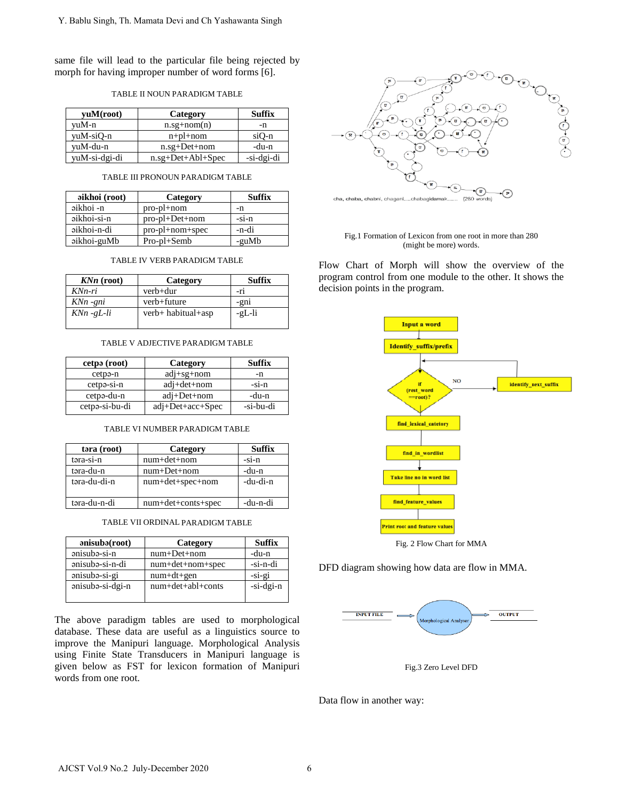same file will lead to the particular file being rejected by morph for having improper number of word forms [6].

| TABLE II NOUN PARADIGM TABLE |  |  |  |  |  |
|------------------------------|--|--|--|--|--|
|------------------------------|--|--|--|--|--|

| yuM(root)     | Category          | <b>Suffix</b> |
|---------------|-------------------|---------------|
| vuM-n         | $n.sg+nom(n)$     | -n            |
| yuM-siQ-n     | $n+p$ l+nom       | siQ-n         |
| yuM-du-n      | $n.sg+Det+nom$    | -du-n         |
| yuM-si-dgi-di | n.sg+Det+Abl+Spec | -si-dgi-di    |

#### TABLE III PRONOUN PARADIGM TABLE

| aikhoi (root) | Category                    | Suffix  |
|---------------|-----------------------------|---------|
| aikhoi -n     | $pro\text{-}pl\text{+}nom$  | -n      |
| aikhoi-si-n   | $pro\text{-}pl + Det + nom$ | $-si-n$ |
| aikhoi-n-di   | pro-pl+nom+spec             | -n-di   |
| aikhoi-guMb   | $Pro$ -pl+Semb              | -guMb   |

| TABLE IV VERB PARADIGM TABLE |  |  |  |
|------------------------------|--|--|--|
|                              |  |  |  |

| $KNn$ (root)  | Category           | Suffix |
|---------------|--------------------|--------|
| KNn-ri        | verb+dur           | $-r1$  |
| KNn -gni      | verb+future        | -gni   |
| $KNn - gL-li$ | verb+ habitual+asp | -gL-li |

## TABLE V ADJECTIVE PARADIGM TABLE

| cetpa (root)   | Category           | <b>Suffix</b> |
|----------------|--------------------|---------------|
| cetpə-n        | $adj+sg+nom$       | -n            |
| $cetp-si-n$    | $adj + det + nom$  | $-51-n$       |
| cetpə-du-n     | $adj+Det+nom$      | -du-n         |
| cetpa-si-bu-di | $adj+Det+acc+Spec$ | -si-bu-di     |

#### TABLE VI NUMBER PARADIGM TABLE

| tara (root)  | Category           | <b>Suffix</b> |
|--------------|--------------------|---------------|
| təra-si-n    | $num+det+nom$      | $-si-n$       |
| təra-du-n    | $num+Det+nom$      | -du-n         |
| təra-du-di-n | num+det+spec+nom   | -du-di-n      |
| təra-du-n-di | num+det+conts+spec | -du-n-di      |

| anisubə(root)    | Category          | <b>Suffix</b> |
|------------------|-------------------|---------------|
| anisuba-si-n     | $num+Det+nom$     | -du-n         |
| anisuba-si-n-di  | num+det+nom+spec  | -si-n-di      |
| anisuba-si-gi    | $num+dt+gen$      | $-si-gi$      |
| anisuba-si-dgi-n | num+det+abl+conts | -si-dgi-n     |
|                  |                   |               |

The above paradigm tables are used to morphological database. These data are useful as a linguistics source to improve the Manipuri language. Morphological Analysis using Finite State Transducers in Manipuri language is given below as FST for lexicon formation of Manipuri words from one root.



Fig.1 Formation of Lexicon from one root in more than 280 (might be more) words.

Flow Chart of Morph will show the overview of the program control from one module to the other. It shows the decision points in the program.



Fig. 2 Flow Chart for MMA

DFD diagram showing how data are flow in MMA.



Fig.3 Zero Level DFD

Data flow in another way: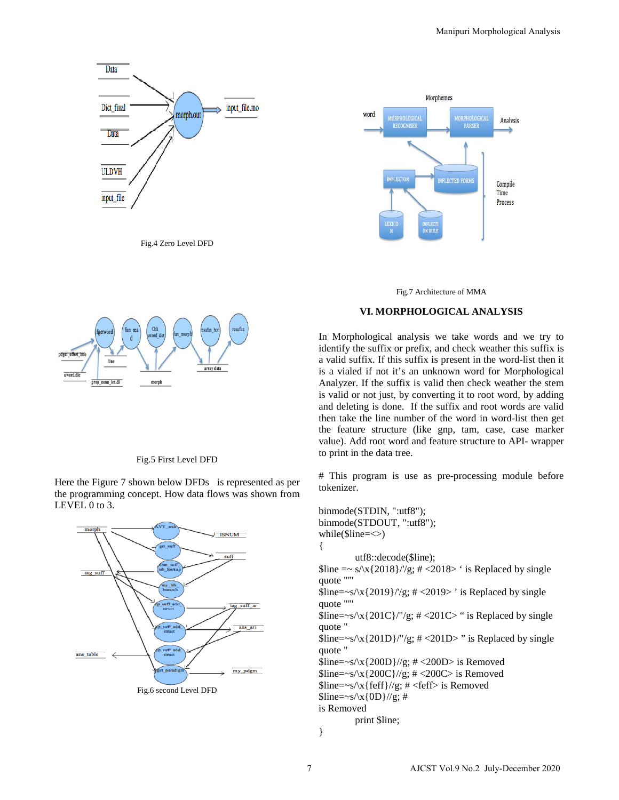

Fig.4 Zero Level DFD



#### Fig.5 First Level DFD

Here the Figure 7 shown below DFDs is represented as per the programming concept. How data flows was shown from LEVEL 0 to 3.







## **VI. MORPHOLOGICAL ANALYSIS**

In Morphological analysis we take words and we try to identify the suffix or prefix, and check weather this suffix is a valid suffix. If this suffix is present in the word-list then it is a vialed if not it's an unknown word for Morphological Analyzer. If the suffix is valid then check weather the stem is valid or not just, by converting it to root word, by adding and deleting is done. If the suffix and root words are valid then take the line number of the word in word-list then get the feature structure (like gnp, tam, case, case marker value). Add root word and feature structure to API- wrapper to print in the data tree.

# This program is use as pre-processing module before tokenizer.

binmode(STDIN, ":utf8"); binmode(STDOUT, ":utf8"); while( $\text{Since}=\text{&}$ ) { utf8::decode(\$line);  $\frac{\text{Since } z \sim s}{x\{2018\}}$ //g; # <2018> ' is Replaced by single quote "'"  $\line{\$line{\$line$\$}$  \line=~s/\x{2019}/'/g; # <2019>' is Replaced by single quote "'"  $\line{\$line}=-s/\x{201C}/\"/{g}$ ; # <201C> " is Replaced by single quote "  $\line{\$line{\$line$\$}$  \time=~s\\x{201D}/"/g; # <201D>" is Replaced by single quote "  $\line{\$line>=~s/\x{200D}/g; \# <200D> \$$  Removed  $\line{ 1}$ line=~s/\x{200C}//g; # <200C> is Removed  $\line{$line=\sim s/\x{reff}/\g{g}}$ ; # <feff> is Removed  $$line=$ is Removed print \$line; Manipuri Morphological Analysis<br>
Manipuri Morphological Analysis<br>
Weightness<br>
Manipuri Moreoview (Manipuri Moreoview (Manipuri Moreoview (Manipuri Moreoview (Manipuri Moreoview the Wand Theorem 2020)<br>
In Morphological ana

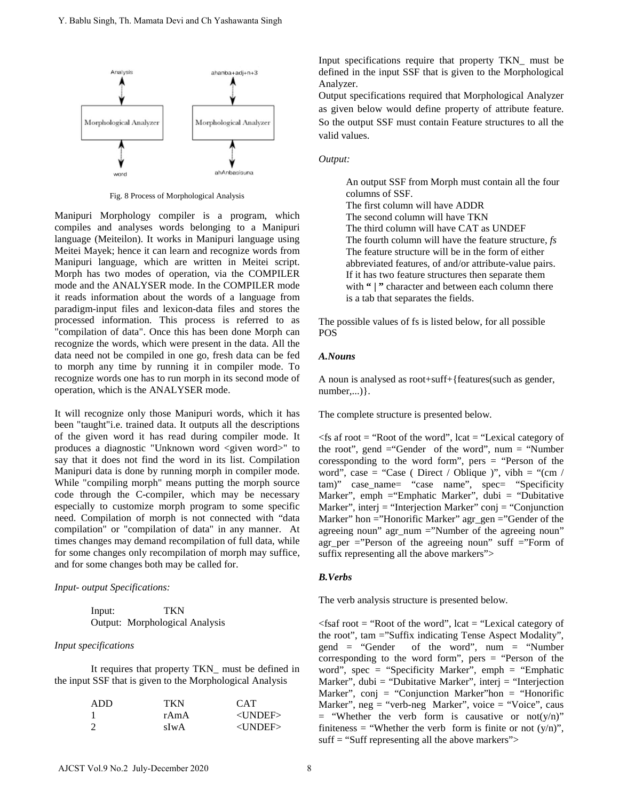

Fig. 8 Process of Morphological Analysis

Manipuri Morphology compiler is a program, which compiles and analyses words belonging to a Manipuri language (Meiteilon). It works in Manipuri language using Meitei Mayek; hence it can learn and recognize words from Manipuri language, which are written in Meitei script. Morph has two modes of operation, via the COMPILER mode and the ANALYSER mode. In the COMPILER mode it reads information about the words of a language from paradigm-input files and lexicon-data files and stores the processed information. This process is referred to as "compilation of data". Once this has been done Morph can recognize the words, which were present in the data. All the data need not be compiled in one go, fresh data can be fed to morph any time by running it in compiler mode. To recognize words one has to run morph in its second mode of operation, which is the ANALYSER mode.

It will recognize only those Manipuri words, which it has been "taught"i.e. trained data. It outputs all the descriptions of the given word it has read during compiler mode. It produces a diagnostic "Unknown word <given word>" to say that it does not find the word in its list. Compilation Manipuri data is done by running morph in compiler mode. While "compiling morph" means putting the morph source code through the C-compiler, which may be necessary especially to customize morph program to some specific need. Compilation of morph is not connected with "data compilation" or "compilation of data" in any manner. At times changes may demand recompilation of full data, while for some changes only recompilation of morph may suffice, and for some changes both may be called for.

*Input- output Specifications:*

| Input: | <b>TKN</b>                     |
|--------|--------------------------------|
|        | Output: Morphological Analysis |

## *Input specifications*

It requires that property TKN\_ must be defined in the input SSF that is given to the Morphological Analysis

| ADD | <b>TKN</b> | <b>CAT</b> |
|-----|------------|------------|
|     | rAmA       | $<$ UNDEF> |
|     | sIwA       | $<$ UNDEF> |

Input specifications require that property TKN\_ must be defined in the input SSF that is given to the Morphological Analyzer.

Output specifications required that Morphological Analyzer as given below would define property of attribute feature. So the output SSF must contain Feature structures to all the valid values.

#### *Output:*

An output SSF from Morph must contain all the four columns of SSF. The first column will have ADDR The second column will have TKN The third column will have CAT as UNDEF The fourth column will have the feature structure, *fs* The feature structure will be in the form of either abbreviated features, of and/or attribute-value pairs. If it has two feature structures then separate them with "" character and between each column there is a tab that separates the fields.

The possible values of fs is listed below, for all possible POS

#### *A.Nouns*

A noun is analysed as root+suff+{features(such as gender, number,...) }.

The complete structure is presented below.

 $\le$ fs af root = "Root of the word", lcat = "Lexical category of the root", gend  $=$  "Gender of the word", num  $=$  "Number coressponding to the word form", pers  $=$  "Person of the word", case = "Case ( Direct / Oblique )", vibh = "(cm / tam)" case\_name= "case name", spec= "Specificity Marker", emph ="Emphatic Marker", dubi = "Dubitative Marker", interj = "Interjection Marker" conj = "Conjunction Marker" hon ="Honorific Marker" agr\_gen ="Gender of the agreeing noun" agr\_num ="Number of the agreeing noun" agr\_per ="Person of the agreeing noun" suff ="Form of suffix representing all the above markers">

## *B.Verbs*

The verb analysis structure is presented below.

 $\le$ fsaf root = "Root of the word", lcat = "Lexical category of the root", tam ="Suffix indicating Tense Aspect Modality", gend = "Gender of the word", num = "Number corresponding to the word form", pers  $=$  "Person of the word", spec = "Specificity Marker", emph = "Emphatic Marker", dubi = "Dubitative Marker", interj = "Interjection" Marker", conj = "Conjunction Marker"hon = "Honorific Marker", neg = "verb-neg Marker", voice = "Voice", caus  $=$  "Whether the verb form is causative or not(y/n)" finiteness = "Whether the verb form is finite or not  $(y/n)$ ",  $\text{suffix} = \text{``Suff representing all the above markers''}$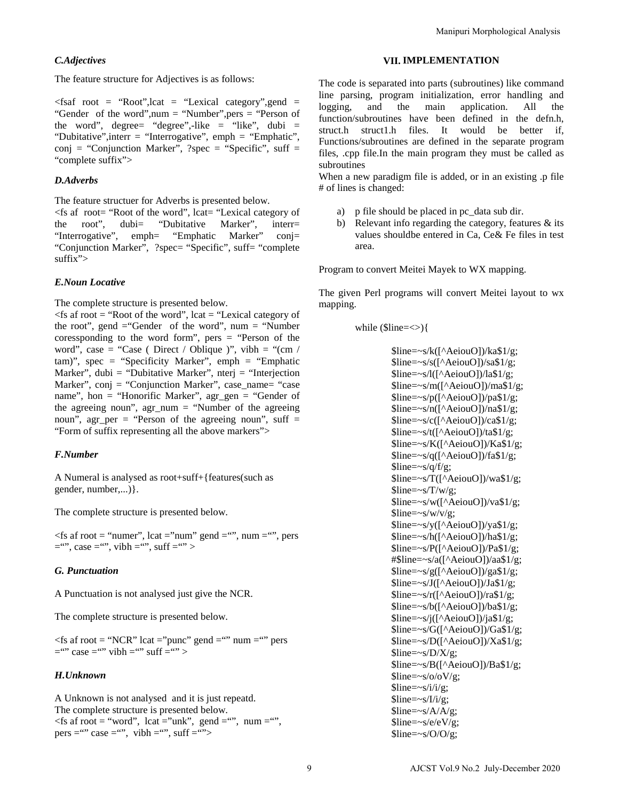## *C.Adjectives*

The feature structure for Adjectives is as follows:

 $\langle$ fsaf root = "Root",lcat = "Lexical category",gend = "Gender of the word",num = "Number",pers = "Person of the word", degree= "degree",-like = "like", dubi = "Dubitative",interr = "Interrogative", emph = "Emphatic", conj = "Conjunction Marker", ?spec = "Specific", suff = "complete suffix">

## *D.Adverbs*

The feature structuer for Adverbs is presented below.

 $\le$ fs af root= "Root of the word", lcat= "Lexical category of the root", dubi= "Dubitative Marker", interr= "Interrogative", emph= "Emphatic Marker" conj= "Conjunction Marker", ?spec= "Specific", suff= "complete suffix">

## *E.Noun Locative*

The complete structure is presented below.

 $\le$ fs af root = "Root of the word", lcat = "Lexical category of the root", gend  $=$ "Gender of the word", num  $=$  "Number coressponding to the word form", pers  $=$  "Person of the word", case = "Case ( Direct / Oblique )", vibh = "(cm /  $tam$ ", spec = "Specificity Marker", emph = "Emphatic Marker", dubi = "Dubitative Marker", nterj = "Interjection Marker", conj = "Conjunction Marker", case\_name= "case name", hon = "Honorific Marker", agr\_gen = "Gender of the agreeing noun", agr\_num = "Number of the agreeing noun", agr\_per = "Person of the agreeing noun", suff = "Form of suffix representing all the above markers">

## *F.Number*

A Numeral is analysed as root+suff+{features(such as gender, number,...)}.

The complete structure is presented below.

 $\le$ fs af root = "numer", lcat = "num" gend = "", num = "", pers  $=$ "", case  $=$ "", vibh  $=$ "", suff  $=$ "" >

#### *G. Punctuation*

A Punctuation is not analysed just give the NCR.

The complete structure is presented below.

 $\langle$  fs af root = "NCR" lcat = "punc" gend = "" num = "" pers  $=$ "" case  $=$ "" vibh  $=$ "" suff  $=$ "" >

## *H.Unknown*

A Unknown is not analysed and it is just repeatd. The complete structure is presented below.  $\le$ fs af root = "word", lcat = "unk", gend = "", num = "", pers = "" case = "", vibh = "", suff = "">

#### **VII. IMPLEMENTATION**

The code is separated into parts (subroutines) like command line parsing, program initialization, error handling and logging, and the main application. All the function/subroutines have been defined in the defn.h, struct.h struct1.h files. It would be better if, Functions/subroutines are defined in the separate program files, .cpp file.In the main program they must be called as subroutines

When a new paradigm file is added, or in an existing .p file # of lines is changed:

- a) p file should be placed in pc\_data sub dir.
- b) Relevant info regarding the category, features  $\&$  its values shouldbe entered in Ca, Ce& Fe files in test area.

Program to convert Meitei Mayek to WX mapping.

The given Perl programs will convert Meitei layout to wx mapping.

while  $(\text{Since}=<)$ {

\$line=~s/k([^AeiouO])/ka\$1/g;  $\frac{\sin e}{\cos(\frac{\pi}{6})}$  \sime=~s/s( $\frac{\sin(0)}{\cos(0)}$ )/sa\$1/g; \$line=~s/l([^AeiouO])/la\$1/g; \$line=~s/m([^AeiouO])/ma\$1/g;  $\frac{\sin\theta = \sin\theta}{\cos\theta}$  /  $\frac{\sin\theta}{\cos\theta}$  /  $\frac{\sin\theta}{\cos\theta}$ \$line=~s/n([^AeiouO])/na\$1/g;  $\lvert \text{Rine} \rvert = -s/c(\lvert \text{AeiouO} \rvert)/ca\lvert \text{R} \rvert = 1/2$ ; \$line=~s/t([^AeiouO])/ta\$1/g; \$line=~s/K([^AeiouO])/Ka\$1/g;  $\frac{\sin\theta}{\cos\theta}$  \displayset \divide{\sigma\_{\sigma\_{\sigma\_{\sigma\_{\sigma\_{\sigma\_{\sigma\_{\sigma\_{\sigma\_{\sigma\_{\sigma\_{\sigma\_{\sigma\_{\sigma\_{\sigma\_{\sigma\_{\sigma\_{\sigma\_{\sigma\_{\sigma\_{\sigma\_{\sigma\_{\sigma\_{\s  $\text{Since} = \frac{-s}{q}$ \$line=~s/T([^AeiouO])/wa\$1/g;  $\text{Since} = \frac{S}{T/w/g}$ ; \$line=~s/w([^AeiouO])/va\$1/g;  $\text{Since} = \frac{-s}{w/v/g}$ ;  $\frac{\sin e}{\cos 1}$  /y( $\frac{\cos 0}{\cos 1}$  /ya\$1/g;  $\line{\$line}=-s/h([^{\wedge}AeiouO])/haf1/g;$ \$line=~s/P([^AeiouO])/Pa\$1/g; #\$line=~s/a([^AeiouO])/aa\$1/g; \$line=~s/g([^AeiouO])/ga\$1/g; \$line=~s/J([^AeiouO])/Ja\$1/g; \$line=~s/r([^AeiouO])/ra\$1/g; \$line=~s/b([^AeiouO])/ba\$1/g;  $\frac{\sin\theta}{\sin\theta}$  \sine=~s/j([^AeiouO])/ja\$1/g; \$line=~s/G([^AeiouO])/Ga\$1/g;  $\frac{\sin e^{-x}}{\cos(1-\theta)}$  /Xa\$1/g;  $\text{Since}=\sim s/D/X/g$ ; \$line=~s/B([^AeiouO])/Ba\$1/g;  $\text{Since} = \frac{-s}{o\sqrt{v}}$ ;  $$line=\sim s/i/i/g;$  $$line=\sim s/I/i/g;$  $$line=\sim s/A/A/g$ ;  $$line=~~;~~$ \$line=~s/O/O/g; Manipuri Morphological Analysis<br>
The code is separated into parts. (subtrainers) like commannia<br>
The parsing, program initialization, error handling an<br>
logging, and the main application. All the main application<br>
Interac